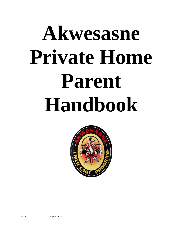# **Akwesasne Private Home Parent Handbook**

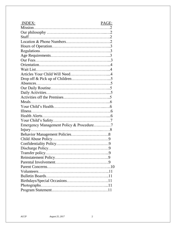| <b>INDEX:</b><br>PAGE:                   |
|------------------------------------------|
|                                          |
|                                          |
|                                          |
|                                          |
|                                          |
|                                          |
|                                          |
|                                          |
|                                          |
|                                          |
|                                          |
|                                          |
|                                          |
|                                          |
|                                          |
|                                          |
|                                          |
|                                          |
|                                          |
|                                          |
|                                          |
| Emergency Management Policy & Procedure7 |
|                                          |
|                                          |
|                                          |
|                                          |
| 9.                                       |
|                                          |
|                                          |
|                                          |
|                                          |
|                                          |
|                                          |
|                                          |
|                                          |
|                                          |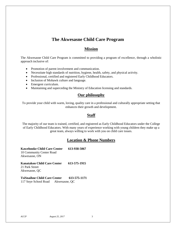# **The Akwesasne Child Care Program**

## **Mission**

The Akwesasne Child Care Program is committed to providing a program of excellence, through a wholistic approach inclusive of:

- Promotion of parent involvement and communication.
- Necessitate high standards of nutrition, hygiene, health, safety, and physical activity.
- Professional, certified and registered Early Childhood Educators.
- Inclusion of Mohawk culture and language.
- Emergent curriculum.
- Maintaining and superceding the Ministry of Education licensing and standards.

## **Our philosophy**

To provide your child with warm, loving, quality care in a professional and culturally appropriate setting that enhances their growth and development.

## **Staff**

The majority of our team is trained, certified, and registered as Early Childhood Educators under the College of Early Childhood Educators. With many years of experience working with young children they make up a great team, always willing to work with you on child care issues.

## **Location & Phone Numbers**

**Kawehnoke Child Care Center 613-938-5067** 10 Community Center Road Akwesasne, ON

**Kanatakon Child Care Center 613-575-1915**  21 Park Street Akwesasne, QC

**TsiSnaihne Child Care Center 613-575-1171** 117 Snye School Road Akwesasne, QC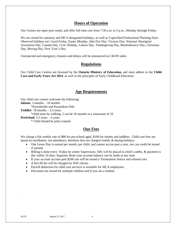## **Hours of Operation**

Our Centers are open year round, and offer full time care from 7:30 a.m. to 5 p.m., Monday through Friday.

We are closed for statutory and MCA designated holidays, as well as 3 specified Professional Planning Days. Observed holidays are: Good Friday, Easter Monday, Jake Fire Day, Victoria Day, National Aboriginal Awareness Day, Canada Day, Civic Holiday, Labour Day, Thanksgiving Day, Remembrance Day, Christmas Day, Boxing Day, New Year's Day.

Unexpected and emergency closures and delays will be announced on CKON radio.

## **Regulations**

Our Child Care Centres are licensed by the **Ontario Ministry of Education,** and must adhere to the **Child Care and Early Years Act 2014**, as well as the principles of Early Childhood Education.

## **Age Requirements**

Our child care centres welcome the following:

**Infants**: 3 months – 18 months

\*Kawehnoke and Kanatakon Only

**Toddler**: 18 months – 2.5 years

\*child must be walking, 2 can be 16 months in a classroom of 10

**PreSchool**: 2.5 years – 6 years

\* Child should be potty trained.

## **Our Fees**

We charge a flat weekly rate of \$80 for pre-school aged, \$100 for infants and toddlers. Child care fees are based on enrollment, not attendance, therefore fees are charged weekly & during holidays.

- One Leave Day is earned per month, per child, and cannot accrue past a year, nor can credit be issued if unused.
- Billing is done every Friday by center Supervisors, bills will be placed in child's cubby, & payment is due within 10 days. Inquiries about your account balance can be made at any time.
- If your account accrues past \$200 you will be issued a Termination Notice and refused care.
- A \$25.00 fee will be charged for NSF checks.
- Payroll deduction for child care services is available for MCA employees.
- Discounts are issued for multiple children and if you are a student.

.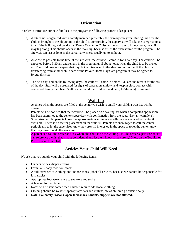## **Orientation**

In order to introduce our new families to the program the following process takes place:

- a) A site visit is organized with a family member, preferably the primary caregiver. During this time the child is brought to the playroom. If the child is comfortable, the supervisor will take the caregiver on a tour of the building and conduct a "Parent Orientation" discussion with them. If necessary, the child may tag along. This should occur in the morning, because this is the busiest time for the program. The site visit can last as long as the caregiver wishes, usually up to an hour.
- b) As close as possible to the time of the site visit, the child will come in for a half day. The child will be expected before 9:30 am and remain in the program until about noon, when the child is to be picked up. The child does not nap on that day, but is introduced to the sleep room routine. If the child is transferring from another child care or the Private Home Day Care program, it may be agreed to forego this step.
- c) The next day, and on the following days, the child will come in before 9:30 am and remain for the rest of the day. Staff will be prepared for signs of separation anxiety, and keep in close contact with concerned family members. Staff know that if the child eats and naps, he/she is adjusting well.

## **Wait List**

At times when the spaces are filled at the center you wish to enroll your child, a wait list will be created.

Parents will be notified that their child will be placed on a waiting list when a completed application has been submitted to the center supervisor with confirmation from the supervisor as "complete". Supervisor will let parents know the approximate wait times and offer a space at another center if available. There is no fee for placement on the wait list. Parents are encouraged to call the center periodically to let the supervisor know they are still interested in the space or to let the center know that they have found alternate care.

A parent can call the center and ask where the child is on the waiting list. The center supervisor or staff can reference the list that is kept confidential and let them know if they are 1,2,3, etc on the Toddler or Preschool or Infant list.

## **Articles Your Child Will Need**

We ask that you supply your child with the following items:

- Diapers, wipes, diaper creams.
- Formula & baby food for infants.
- A full extra set of clothing and indoor shoes (label all articles, because we cannot be responsible for lost articles)
- Appropriate foot wear refers to sneakers and socks
- A blanket for nap time
- Notes will be sent home when children require additional clothing.
- Clothing should be weather appropriate: hats and mittens, etc as children go outside daily.
- **Note: For safety reasons, open-toed shoes, sandals, slippers are not allowed.**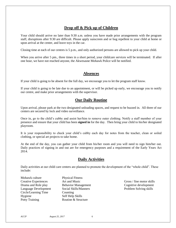# **Drop off & Pick up of Children**

Your child should arrive no later than 9:30 a.m. unless you have made prior arrangements with the program staff, disruptions after 9:30 are difficult. Please apply sunscreen and or bug repellent to your child at home or upon arrival at the center, and leave toys in the car.

Closing time at each of our centres is 5 p.m., and only authorized persons are allowed to pick up your child.

When you arrive after 5 pm., three times in a short period, your childcare services will be terminated. If after one hour, we have not reached anyone, the Akwesasne Mohawk Police will be notified.

## **Absences**

If your child is going to be absent for the full day, we encourage you to let the program staff know.

If your child is going to be late due to an appointment, or will be picked up early, we encourage you to notify our centre, and make prior arrangements with the supervisor.

## **Our Daily Routine**

Upon arrival, please park at the two designated unloading spaces, and request to be buzzed in. All three of our centers are secured by lock and video surveillance.

Once in, go to the child's cubby and assist her/him to remove outer clothing. Notify a staff member of your presence and ensure that your child has been **signed in** for the day. Then bring your child to his/her designated playroom.

It is your responsibility to check your child's cubby each day for notes from the teacher, clean or soiled clothing, or special art projects to take home.

At the end of the day, you can gather your child from his/her room and you will need to sign him/her out. Daily practices of signing in and out are for emergency purposes and a requirement of the Early Years Act 2014.

## **Daily Activities**

Daily activities at our child care centers are planned to promote the development of the "whole child". These include:

- Mohawk culture Physical Fitness Creative Experiences Art and Music Gross / fine motor skills Drama and Role play Behavior Management Cognitive development Language Development Social Skills/Manners Problem Solving skills Circle/Learning Time Counting Hygiene Self Help Skills Potty Training Routine & Structure
	-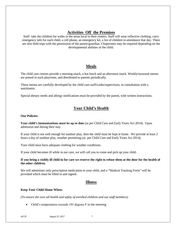## **Activities Off the Premises**

Staff take the children for walks in the areas local to their centers. Staff will wear reflective clothing, carry emergency info for each child, a cell phone, an emergency kit, a list of children in attendance that day. There are also field trips with the permission of the parent/guardian. Chaperones may be required depending on the developmental abilities of the child.

# **Meals**

The child care centres provide a morning snack, a hot lunch and an afternoon snack. Weekly/seasonal menus are posted in each playroom, and distributed to parents periodically.

These menus are carefully developed by the child care staff/cooks/supervisors, in consultation with a nutritionist.

Special dietary needs and allergy notifications must be provided by the parent, with written instructions.

# **Your Child's Health**

#### **Our Policies:**

**Your child's immunizations must be up to date** (as per Child Care and Early Years Act 2014). Upon admission and during their stay.

If your child is not well enough for outdoor play, then the child must be kept at home. We provide at least 2 hours a day of outdoor play, weather permitting (as per Child Care and Early Years Act 2014).

Your child must have adequate clothing for weather conditions.

If your child becomes ill while in our care, we will call you to come and pick up your child.

#### **If you bring a visibly ill child in for care we reserve the right to refuse them at the door for the health of the other children.**

We will administer only prescription medication to your child, and a "Medical Tracking Form" will be provided which must be filled in and signed.

## **Illness**

## **Keep Your Child Home When:**

*(To ensure the over all health and safety of enrolled children and our staff members)*

• Child's temperatures exceeds 101 degrees F in the morning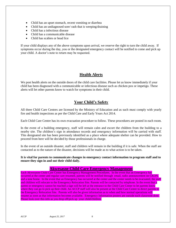- Child has an upset stomach, recent vomiting or diarrhea
- Child has an undiagnosed sore/ rash that is weeping/draining
- Child has a infectious disease
- Child has a communicable disease
- Child has scabies or head lice

If your child displays any of the above symptoms upon arrival, we reserve the right to turn the child away. If symptoms occur during the day, you or the designated emergency contact will be notified to come and pick up your child. A doctor's note to return may be requested.

# **Health Alerts**

We post health alerts on the outside doors of the child care facilities. Please let us know immediately if your child has been diagnosed with a communicable or infectious disease such as chicken pox or impetigo. These alerts will let other parents know to watch for symptoms in their child.

# **Your Child's Safety**

All three Child Care Centres are licensed by the Ministry of Education and as such must comply with yearly fire and health inspections as per the Child Care and Early Years Act 2014.

Each Child Care Centre has its own evacuation procedure to follow. These procedures are posted in each room.

In the event of a building emergency, staff will remain calm and escort the children from the building to a nearby site. The children's sign in attendance records and emergency information will be carried with staff. This designated site has been previously identified as a place where adequate shelter can be provided. How to proceed from here will be decided by those professionals in charge.

In the event of an outside disaster, staff and children will remain in the building if it is safe. When the staff are contacted as to the nature of the disaster, decisions will be made as to what action is to be taken.

#### **It is vital for parents to communicate changes in emergency contact information to program staff and to ensure they sign in and out their child daily.**

## **Akwesasne Child Care Emergency Management**

Each Akwesasne Child Care Center has Emergency Management Procedures. In the event that an Emergency has occurred at the center and regular care resumed, parents will be notified through email, radio announcement on CKON, and a note home. In the event that an Emergency has occurred at the center and the center needs to be evacuated, the staff and children will relocate to the Emergency Relocation Site. Parents will be contacted by telephone. In the event that a parent or emergency cannot be reached a sign will be left at the entrance to the Child Care Center to let parents know where they can go to pick up their child. An ACCP staff will also be present at the Child Care Center to direct parents to the Emergency Relocation Site. Parents will also be given information as to when and how normal operations will resume as soon as that information becomes available. Emergency Information posters are outside each classroom door. Please look over this info as you drop off/pick up your child/children.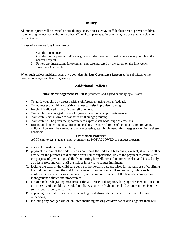# **Injury**

All minor injuries will be treated on site (bumps, cuts, bruises, etc.). Staff do their best to prevent children from hurting themselves and/or each other. We will call parents to inform them, and ask that they sign an accident report.

In case of a more serious injury, we will:

- 1. Call the ambulance
- 2. Call the child's parents and/or designated contact person to meet us as soon as possible at the nearest hospital
- 3. Follow any instructions for treatment and care indicated by the parent on the Emergency Treatment Consent Form

When such serious incidents occurs, we complete **Serious Occurrence Reports** to be submitted to the program manager and licensing agency.

# **Additional Policies**

## **Behavior Management Policies:** (reviewed and signed annually by all staff)

- To guide your child by direct positive reinforcement using verbal feedback
- To redirect your child in a positive manner to assist in problem solving
- No child is allowed to hurt him/herself or others.
- Your child is encouraged to use all toys/equipment in an appropriate manner
- Your child is not allowed to wander from their age grouping
- Your child will be given the opportunity to express their wide range of emotions
- Biting, pinching, scratching, hitting and pushing are normal forms of communication for young children, however, they are not socially acceptable; staff implement safe strategies to minimize these behaviors

## **Prohibited Practices**

ACCP employees, students, and volunteers are NOT ALLOWED to conduct or permit:

- A. corporal punishment of the child;
- B. physical restraint of the child, such as confining the child to a high chair, car seat, stroller or other device for the purposes of discipline or in lieu of supervision, unless the physical restraint is for the purpose of preventing a child from hurting himself, herself or someone else, and is used only as a last resort and only until the risk of injury is no longer imminent;
- C. locking the exits of the child care centre or home child care premises for the purpose of confining the child, or confining the child in an area or room without adult supervision, unless such confinement occurs during an emergency and is required as part of the licensee's emergency management policies and procedures;
- D. use of harsh or degrading measures or threats or use of derogatory language directed at or used in the presence of a child that would humiliate, shame or frighten the child or undermine his or her self-respect, dignity or self-worth
- E. depriving the child of basic needs including food, drink, shelter, sleep, toilet use, clothing or bedding;
- F. inflicting any bodily harm on children including making children eat or drink against their will.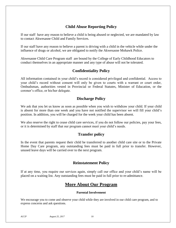# **Child Abuse Reporting Policy**

If our staff have any reason to believe a child is being abused or neglected, we are mandated by law to contact Akwesasne Child and Family Services.

If our staff have any reason to believe a parent is driving with a child in the vehicle while under the influence of drugs or alcohol, we are obligated to notify the Akwesasne Mohawk Police.

Akwesasne Child Care Program staff are bound by the College of Early Childhood Educators to conduct themselves in an appropriate manner and any type of abuse will not be tolerated.

# **Confidentiality Policy**

All information contained in your child's record is considered privileged and confidential. Access to your child's record without consent will only be given to courts with a warrant or court order, Ombudsman, authorities vested in Provincial or Federal Statutes, Minister of Education, or the coroner's office, or his/her delegate.

# **Discharge Policy**

We ask that you let us know as soon as possible when you wish to withdraw your child. If your child is absent for more than one week and you have not notified the supervisor we will fill your child's position. In addition, you will be charged for the week your child has been absent.

We also reserve the right to cease child care services, if you do not follow our policies, pay your fees, or it is determined by staff that our program cannot meet your child's needs.

# **Transfer policy**

In the event that parents request their child be transferred to another child care site or to the Private Home Day Care program, any outstanding fees must be paid in full prior to transfer. However, unused leave days will be carried over to the next program.

# **Reinstatement Policy**

If at any time, you require our services again, simply call our office and your child's name will be placed on a waiting list. Any outstanding fees must be paid in full prior to re-admittance.

# **More About Our Program**

## **Parental Involvement**

We encourage you to come and observe your child while they are involved in our child care program, and to express concerns and ask questions.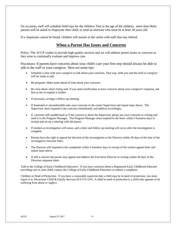On occasion, staff will schedule field trips for the children. Due to the age of the children, more than likely parents will be asked to chaperone their child, or send an alternate who must be at least 18 years old.

If a chaperone cannot be found, children will remain at the centre with staff that stay behind.

# **When a Parent Has Issues and Concerns**

Policy: The ACCP wishes to provide high quality services and we will address parent issues or concerns as they arise to continually evaluate and improve care.

Procedures: If parents have concerns about your child's care your first step should always be able to talk to the staff or your caregiver. Here are some tips:

- Schedule a time with your caregiver to talk about your concerns. That way, both you and the staff or caregiver will be ready to talk.
- Be prepared. Make notes ahead of time about your concerns.
- Be clear about what's being said. If you need clarification or have concerns about your caregiver's response, ask him or her to explain it further.
- If necessary, arrange a follow-up meeting.
- If frustrated or uncomfortable take your concerns to the center Supervisor and repeat steps above. The Supervisor must respond to the concerns immediately and address accordingly.
- If concerns still unaddressed or if the concern is about the Supervisor please put your concerns in writing and send it to the Program Manager. The Program Manager must respond to the letter within 5 business days in receipt and set up a meeting with the parent.
- If needed an investigation will ensue, and a letter and follow up meeting will occur after the investigation is complete.
- Parents have the right to appeal the decision of the investigation to the Director within 30 days of the date of the investigative outcome letter.
- The Director will respond to the complaints within 5 business days in receipt of the written appeal letter and repeat steps above.
- If still a concern the parent may appeal and address the Executive Director in writing within 30 days of the Directors response letter.

Talk to the College of Early Childhood Educators: If you have concerns about a Registered Early Childhood Educator providing care to your child, contact the [College of Early Childhood Educators](http://www.college-ece.ca/) to submit a complaint.

Children in Need of Protection: If you have a reasonable suspicion that a child may be in need of protection, you must report it to Akwesasne Child & Family Services 613-575-2341. A child in need of protection is a child who appears to be suffering from abuse or neglect.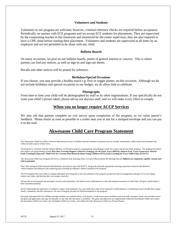#### **Volunteers and Students**

Volunteers to our program are welcome; however, criminal reference checks are required before acceptance. Periodically we partner with ECE programs and we accept ECE students for placements. They are supervised by the cooperating teacher in the classroom and monitored by the center supervisor; they are also required to have a CPIC done before starting their placement. Volunteers and students are supervised at all times by an employee and are not permitted to be alone with any child.

#### **Bulletin Boards**

On many occasions, we post on our bulletin boards, points of general interest or concern. This is where parents can find any notices, as well as sign-in and sign-out sheets.

Recalls and other notices will be posted for reference.

#### **Birthdays/Special Occasions**

If you choose, you may provide a healthy snack e.g. fruit or veggie platter, on this occasion. Although we do not include birthdays and special occasions in our budget, we do allow time to celebrate.

#### **Photographs**

From time to time your child will be photographed by staff or by other organizations. If you specifically do not want your child's picture taken, please advise our daycare staff, and we will make every effort to comply.

#### **When you no longer require ACCP Services**

We also ask that parents complete an exit survey upon completion of the program, as we value parent's feedback. Please return as soon as possible to a center near you or ask for a stamped envelope and you can put it in the mail.

# **Akwesasne Child Care Program Statement**

The Akwesasne Child Care offers extensive educational services to children and their families to promote success socially, emotionally, within school environments and within all other aspects of their lives.

The program is consistent with the Ontario Ministry of Education policies, programming and pedagogy within our centers and private home program. The guiding documents that support our programming include **How Does Learning Happen? Ontario's Pedagogy for the Early Years (HDLH), Ontario Early Years Framework, Ontario Early Learning Framework, Think Feel Act: Lessons from Research about Young Children (TFA), Early Learning for Every Child Today (ELECT).**

The Akwesasne Child Care Program (ACCP) is a Mohawk early learning center on reserve that promotes the ideology that all **children are competent, capable, curious and rich in potential.**

They offer emergent child-centered individualized curriculum in line with ELECT, along with culturally appropriate learning experiences based on the Mohawk culture/tradition and balanced with respecting and including all children's cultures enrolled in the program.

ACCP recognizes that each child is a unique individual who brings his or her own abilities to the program and deserves the encouragement and space to try new things, explore new ideas, and develop their own unique creativity.

We provide an environment that promotes curiosity and exploration. We believe every child deserves a safe and caring environment in which they will grow and develop to their maximum potential.

ACCP understands the importance of children's stages of development. For each child, their stage of development is individualized. Contributing factors include their unique family, community and life experiences. We aim to integrate all areas of child development in our program.

Our goals and approaches for children and their families are outlined below, each family is made aware upon enrollment and each staff, volunteer, home care provider review the goals and approaches and sign off annually, or any time this document is modified. The goals and objectives are implemented within the Kawehnoke Child Care Center, the Kanatakon Child Care Center, the TsiSnaihne Child Care Center, and within all of the Akwesasne Child Care Private Homes.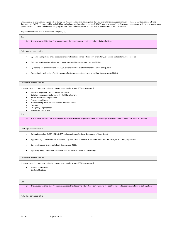The document is reviewed and signed off on during our January professional development day, however changes or suggestions can be made at any time as it is a living document. As ACCP values each child as individual and unique, we also value parent, staff, RECE, and stakeholder's feedback and support to provide the best practices and approaches for children enrolled within our program. Feel free to submit question or comments to Administration at 613-938-5067.

Program Statement: Goals & Approaches S.46(3)9a)-(k)

#### Goal

#### A) The Akwesasne Child Care Program promotes the health, safety, nutrition and well-being of children;

- Tasks & person responsible
	- By ensuring all policies and procedures are developed and signed off annually by all staff, volunteers, and students.(Supervisors)
	- By implementing universal precautions and handwashing throughout the day (RECEs)
	- By creating healthy menus and serving nutritional foods in a safe manner three times daily (Cooks)
	- By monitoring well-being of children make efforts to reduce stress levels of children (Supervisors & RECEs).

#### Success will be measured by:

Licensing inspection summary indicating requirements met by at least 85% in the areas of:

- Ratios of employees to children and group size
- Building, equipment, & playground Child Care Centers
- Health and Medical Supervision
- Program for Children
- Staff Screening measures and criminal reference checks
- Nutrition
- Emergency preparedness
- Administrative matters

#### Goal

B) The Akwesasne Child Care Program will support positive and responsive interactions among the children, parents, child care providers and staff;

#### Tasks & person responsible

- By training staff on ELECT, HDLH, & TFA and providing professional development (Supervisors).
- By promoting a child centered, competent, capable, curious, and rich in potential outlook of the child (RECEs, Cooks, Supervisors).
- By engaging parents on a daily basis (Supervisors, RECEs)
- By valuing every stakeholder to provide the best experience within child care (ALL).

#### Success will be measured by:

Licensing inspection summary indicating requirements met by at least 85% in the areas of:

- Program for Children
- Staff qualifications

#### Goal

C) The Akwesasne Child Care Program encourages the children to interact and communicate in a positive way and support their ability to self-regulate;

Tasks & person responsible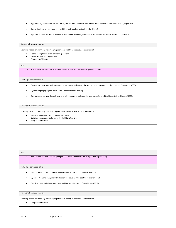- By promoting good words, respect for all, and positive communication will be promoted within all centers (RECEs, Supervisors)
- By monitoring and encourage coping skills to self-regulate and self soothe (RECEs)
- By ensuring stressors will be reduced as identified to encourage confidence and reduce frustration (REECs & Supervisors).

#### Success will be measured by:

Licensing inspection summary indicating requirements met by at least 85% in the areas of:

- Ratios of employees to children and group size
- Health and Medical Supervision
- Program for Children

#### Goal

D) The Akwesasne Child Care Program fosters the children's exploration, play and inquiry.

Tasks & person responsible

- By creating an exciting and stimulating environment inclusive of the atmosphere, classroom, outdoor centers (Supervisor, RECEs)
- By fostering engaging conversation on a continual basis (RECEs)
- By promoting learning through play, and taking a curious collaborative approach of shared thinking with the children. (RECEs)

#### Success will be measured by:

Licensing inspection summary indicating requirements met by at least 85% in the areas of:

- Ratios of employees to children and group size
- Building, equipment, & playground Child Care Centers
- Program for Children

Goal E) The Akwesasne Child Care Program provides child initiated and adult supported experiences; Tasks & person responsible By incorporating the child centered philosophy of TFA, ELECT, and HDLH (RECEs). By connecting and engaging with children and developing a positive relationship (All) By asking open ended questions, and building upon interests of the children (RECEs) Success will be measured by: Licensing inspection summary indicating requirements met by at least 85% in the areas of:

Program for Children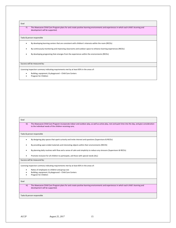#### Goal

F) The Akwesasne Child Care Program plans for and create positive learning environments and experiences in which each child's learning and development will be supported;

#### Tasks & person responsible

- By developing learning centers that are consistent with children's interests within the room (RECEs)
- By continuously monitoring and improving classrooms and outdoor space to enhance learning experiences (RECEs)
- By developing programing that emerges from the experiences within the environments (RECEs)

#### Success will be measured by:

Licensing inspection summary indicating requirements met by at least 85% in the areas of:

- Building, equipment, & playground Child Care Centers<br>• Program for Children
- Program for Children

| Goal                         |                                                                                                                                                                                                                   |  |  |
|------------------------------|-------------------------------------------------------------------------------------------------------------------------------------------------------------------------------------------------------------------|--|--|
| G)                           | The Akwesasne Child Care Program incorporate indoor and outdoor play, as well as active play, rest and quiet time into the day, and give consideration<br>to the individual needs of the children receiving care; |  |  |
| Tasks & person responsible   |                                                                                                                                                                                                                   |  |  |
|                              | By designing play spaces that spark curiosity and invite interest and questions (Supervisors & RECEs)                                                                                                             |  |  |
|                              | By providing open ended materials and interesting objects within their environments (RECES)                                                                                                                       |  |  |
|                              | By planning daily routines with flow and a sense of calm and simplicity to reduce any stressors (Supervisors & RECEs)                                                                                             |  |  |
|                              | Promote inclusion for all children to participate, aid those with special needs (ALL)                                                                                                                             |  |  |
| Success will be measured by: |                                                                                                                                                                                                                   |  |  |
|                              | Licensing inspection summary indicating requirements met by at least 85% in the areas of:                                                                                                                         |  |  |
|                              | Ratios of employees to children and group size<br>Building, equipment, & playground - Child Care Centers<br>Program for Children                                                                                  |  |  |
| Goal                         |                                                                                                                                                                                                                   |  |  |
| H)                           | The Akwesasne Child Care Program plans for and create positive learning environments and experiences in which each child's learning and<br>development will be supported;                                         |  |  |
|                              | Tasks & person responsible                                                                                                                                                                                        |  |  |
|                              |                                                                                                                                                                                                                   |  |  |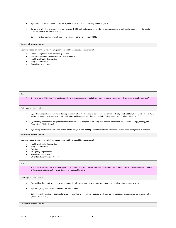By determining what a child is interested in, what draws them in and building upon that (RECEs)

 By working with child and conducting assessments (NDDS tool) and making every effort to accommodate and facilitate inclusion for special needs children (Supervisors, Admin, RECEs)

By documenting learning through learning stories, one per child per week (RECEs)

#### Success will be measured by:

Licensing inspection summary indicating requirements met by at least 85% in the areas of:

- Ratios of employees to children and group size
- Building, equipment, & playground Child Care Centers
- Health and Medical Supervision
- Program for Children
- Administrative matters

| Goal                         |                                                                                                                                                                                                                                                                                                     |  |  |
|------------------------------|-----------------------------------------------------------------------------------------------------------------------------------------------------------------------------------------------------------------------------------------------------------------------------------------------------|--|--|
| $\vert$                      | The Akwesasne Child Care Program involves local community partners and allows those partners to support the children, their families and staff;                                                                                                                                                     |  |  |
|                              | Tasks & person responsible                                                                                                                                                                                                                                                                          |  |  |
| $\bullet$                    | By participating in local networks to develop communication mechanisms to best service the child holistically, like Best Start, Head Start, schools, ACFS,<br>Welfare, Community Health, Nutritionist, neighboring childcare centers, literacy specialist, St Lawrence College (Admin, Supervisors) |  |  |
|                              | By attending inservices on programs to conduct referrals to local agencies including child welfare, speech and occupational therapy, hearing, etc<br>(Supervisors, RECEs, Admin).                                                                                                                   |  |  |
|                              | By working collaboratively with community health, EHO, fire, and building safety to ensure the safety and wellness of children (Admin, Supervisors)                                                                                                                                                 |  |  |
| Success will be measured by: |                                                                                                                                                                                                                                                                                                     |  |  |
| $\bullet$                    | Licensing inspection summary indicating requirements met by at least 85% in the areas of:<br>Health and Medical Supervision<br>Program for Children<br>Nutrition<br><b>Emergency preparedness</b><br>Administrative matters<br>Other Legislation Ministry & Policy                                  |  |  |
| Goal                         |                                                                                                                                                                                                                                                                                                     |  |  |
| J)                           | The Akwesasne Child Care Program supports staff, home child care providers or others who interact with the children at a child care center or home<br>child care premises in relation to continuous professional learning;                                                                          |  |  |
|                              | Tasks & person responsible                                                                                                                                                                                                                                                                          |  |  |
| $\bullet$                    | By providing three professional development days locally throughout the year to go over changes and updates (Admin, Supervisors)                                                                                                                                                                    |  |  |
|                              | By offering on-going training throughout the year (Admin)                                                                                                                                                                                                                                           |  |  |
|                              | By hosting staff meetings in each center once per month, and supervisory meetings to roll out new messages and increase program communication<br>(Admin, Supervisors)                                                                                                                               |  |  |
|                              | Success will be measured by:                                                                                                                                                                                                                                                                        |  |  |